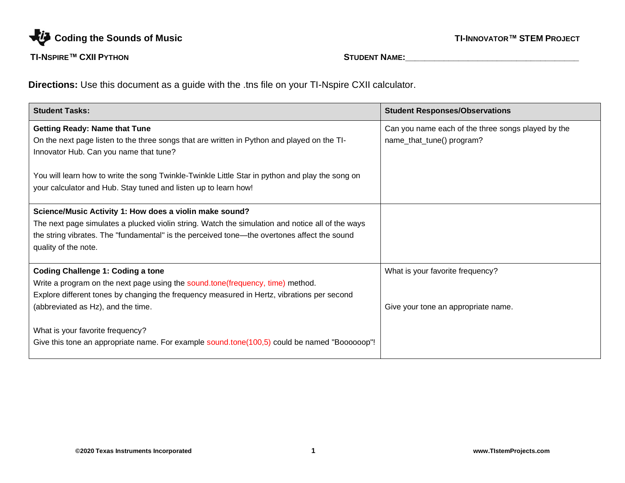

**Directions:** Use this document as a guide with the .tns file on your TI-Nspire CXII calculator.

| <b>Student Tasks:</b>                                                                            | <b>Student Responses/Observations</b>              |
|--------------------------------------------------------------------------------------------------|----------------------------------------------------|
| <b>Getting Ready: Name that Tune</b>                                                             | Can you name each of the three songs played by the |
| On the next page listen to the three songs that are written in Python and played on the TI-      | name_that_tune() program?                          |
| Innovator Hub. Can you name that tune?                                                           |                                                    |
|                                                                                                  |                                                    |
| You will learn how to write the song Twinkle-Twinkle Little Star in python and play the song on  |                                                    |
| your calculator and Hub. Stay tuned and listen up to learn how!                                  |                                                    |
| Science/Music Activity 1: How does a violin make sound?                                          |                                                    |
| The next page simulates a plucked violin string. Watch the simulation and notice all of the ways |                                                    |
| the string vibrates. The "fundamental" is the perceived tone—the overtones affect the sound      |                                                    |
| quality of the note.                                                                             |                                                    |
|                                                                                                  |                                                    |
| <b>Coding Challenge 1: Coding a tone</b>                                                         | What is your favorite frequency?                   |
| Write a program on the next page using the sound.tone (frequency, time) method.                  |                                                    |
| Explore different tones by changing the frequency measured in Hertz, vibrations per second       |                                                    |
| (abbreviated as Hz), and the time.                                                               | Give your tone an appropriate name.                |
| What is your favorite frequency?                                                                 |                                                    |
| Give this tone an appropriate name. For example sound.tone(100,5) could be named "Boooooop"!     |                                                    |
|                                                                                                  |                                                    |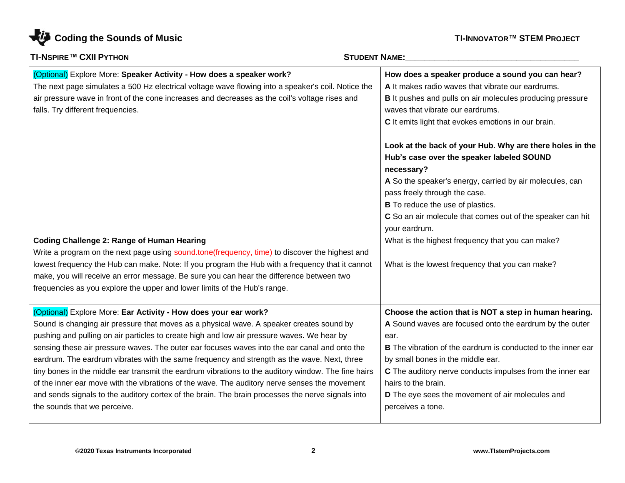

| <b>TI-NSPIRE™ CXII PYTHON</b>                                                                                                                                                                                                                                                                                                                                                                                                                                                                                                                                                                                                                                                                                                                                                                          | <b>STUDENT NAME:</b>                                                                                                                                                                                                                                                                                                                                                                               |  |
|--------------------------------------------------------------------------------------------------------------------------------------------------------------------------------------------------------------------------------------------------------------------------------------------------------------------------------------------------------------------------------------------------------------------------------------------------------------------------------------------------------------------------------------------------------------------------------------------------------------------------------------------------------------------------------------------------------------------------------------------------------------------------------------------------------|----------------------------------------------------------------------------------------------------------------------------------------------------------------------------------------------------------------------------------------------------------------------------------------------------------------------------------------------------------------------------------------------------|--|
| (Optional) Explore More: Speaker Activity - How does a speaker work?<br>The next page simulates a 500 Hz electrical voltage wave flowing into a speaker's coil. Notice the<br>air pressure wave in front of the cone increases and decreases as the coil's voltage rises and<br>falls. Try different frequencies.                                                                                                                                                                                                                                                                                                                                                                                                                                                                                      | How does a speaker produce a sound you can hear?<br>A It makes radio waves that vibrate our eardrums.<br><b>B</b> It pushes and pulls on air molecules producing pressure<br>waves that vibrate our eardrums.<br>C It emits light that evokes emotions in our brain.                                                                                                                               |  |
|                                                                                                                                                                                                                                                                                                                                                                                                                                                                                                                                                                                                                                                                                                                                                                                                        | Look at the back of your Hub. Why are there holes in the<br>Hub's case over the speaker labeled SOUND<br>necessary?<br>A So the speaker's energy, carried by air molecules, can<br>pass freely through the case.<br><b>B</b> To reduce the use of plastics.<br>C So an air molecule that comes out of the speaker can hit<br>your eardrum.                                                         |  |
| <b>Coding Challenge 2: Range of Human Hearing</b><br>Write a program on the next page using sound.tone(frequency, time) to discover the highest and<br>lowest frequency the Hub can make. Note: If you program the Hub with a frequency that it cannot<br>make, you will receive an error message. Be sure you can hear the difference between two<br>frequencies as you explore the upper and lower limits of the Hub's range.                                                                                                                                                                                                                                                                                                                                                                        | What is the highest frequency that you can make?<br>What is the lowest frequency that you can make?                                                                                                                                                                                                                                                                                                |  |
| (Optional) Explore More: Ear Activity - How does your ear work?<br>Sound is changing air pressure that moves as a physical wave. A speaker creates sound by<br>pushing and pulling on air particles to create high and low air pressure waves. We hear by<br>sensing these air pressure waves. The outer ear focuses waves into the ear canal and onto the<br>eardrum. The eardrum vibrates with the same frequency and strength as the wave. Next, three<br>tiny bones in the middle ear transmit the eardrum vibrations to the auditory window. The fine hairs<br>of the inner ear move with the vibrations of the wave. The auditory nerve senses the movement<br>and sends signals to the auditory cortex of the brain. The brain processes the nerve signals into<br>the sounds that we perceive. | Choose the action that is NOT a step in human hearing.<br>A Sound waves are focused onto the eardrum by the outer<br>ear.<br><b>B</b> The vibration of the eardrum is conducted to the inner ear<br>by small bones in the middle ear.<br>C The auditory nerve conducts impulses from the inner ear<br>hairs to the brain.<br>D The eye sees the movement of air molecules and<br>perceives a tone. |  |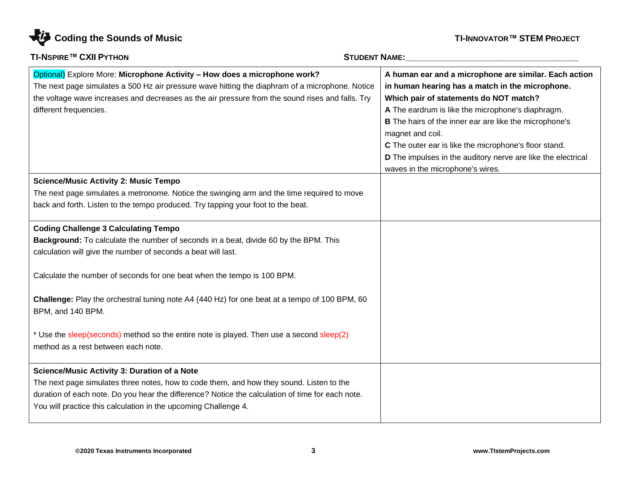

| <b>TI-NSPIRE™ CXII PYTHON</b>                                                                                                                                                                                                                                                                                          | <b>STUDENT NAME:</b>                                                                                                                                                                                                                                                                                                                                                                                                                               |  |
|------------------------------------------------------------------------------------------------------------------------------------------------------------------------------------------------------------------------------------------------------------------------------------------------------------------------|----------------------------------------------------------------------------------------------------------------------------------------------------------------------------------------------------------------------------------------------------------------------------------------------------------------------------------------------------------------------------------------------------------------------------------------------------|--|
| Optional) Explore More: Microphone Activity - How does a microphone work?<br>The next page simulates a 500 Hz air pressure wave hitting the diaphram of a microphone. Notice<br>the voltage wave increases and decreases as the air pressure from the sound rises and falls. Try<br>different frequencies.             | A human ear and a microphone are similar. Each action<br>in human hearing has a match in the microphone.<br>Which pair of statements do NOT match?<br>A The eardrum is like the microphone's diaphragm.<br>B The hairs of the inner ear are like the microphone's<br>magnet and coil.<br>C The outer ear is like the microphone's floor stand.<br>D The impulses in the auditory nerve are like the electrical<br>waves in the microphone's wires. |  |
| <b>Science/Music Activity 2: Music Tempo</b><br>The next page simulates a metronome. Notice the swinging arm and the time required to move<br>back and forth. Listen to the tempo produced. Try tapping your foot to the beat.                                                                                         |                                                                                                                                                                                                                                                                                                                                                                                                                                                    |  |
| <b>Coding Challenge 3 Calculating Tempo</b><br>Background: To calculate the number of seconds in a beat, divide 60 by the BPM. This<br>calculation will give the number of seconds a beat will last.<br>Calculate the number of seconds for one beat when the tempo is 100 BPM.                                        |                                                                                                                                                                                                                                                                                                                                                                                                                                                    |  |
| Challenge: Play the orchestral tuning note A4 (440 Hz) for one beat at a tempo of 100 BPM, 60<br>BPM, and 140 BPM.                                                                                                                                                                                                     |                                                                                                                                                                                                                                                                                                                                                                                                                                                    |  |
| * Use the sleep(seconds) method so the entire note is played. Then use a second sleep(2)<br>method as a rest between each note.                                                                                                                                                                                        |                                                                                                                                                                                                                                                                                                                                                                                                                                                    |  |
| <b>Science/Music Activity 3: Duration of a Note</b><br>The next page simulates three notes, how to code them, and how they sound. Listen to the<br>duration of each note. Do you hear the difference? Notice the calculation of time for each note.<br>You will practice this calculation in the upcoming Challenge 4. |                                                                                                                                                                                                                                                                                                                                                                                                                                                    |  |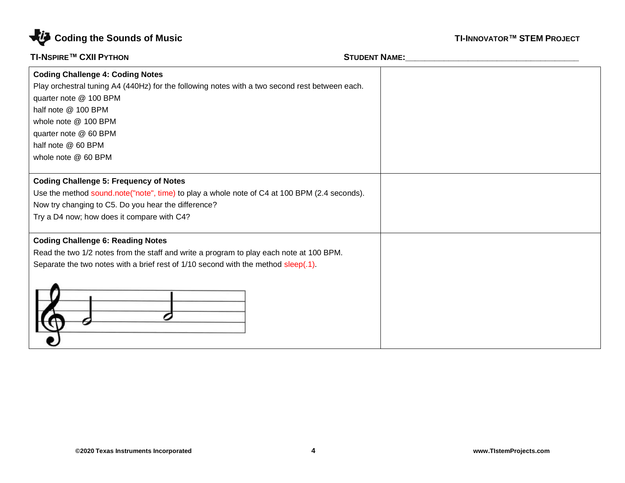

| <b>Coding Challenge 4: Coding Notes</b>                                                        |  |
|------------------------------------------------------------------------------------------------|--|
| Play orchestral tuning A4 (440Hz) for the following notes with a two second rest between each. |  |
| quarter note @ 100 BPM                                                                         |  |
| half note @ 100 BPM                                                                            |  |
| whole note @ 100 BPM                                                                           |  |
| quarter note @ 60 BPM                                                                          |  |
| half note @ 60 BPM                                                                             |  |
| whole note @ 60 BPM                                                                            |  |
|                                                                                                |  |
| <b>Coding Challenge 5: Frequency of Notes</b>                                                  |  |
| Use the method sound note("note", time) to play a whole note of C4 at 100 BPM (2.4 seconds).   |  |
| Now try changing to C5. Do you hear the difference?                                            |  |
| Try a D4 now; how does it compare with C4?                                                     |  |
|                                                                                                |  |
| <b>Coding Challenge 6: Reading Notes</b>                                                       |  |
| Read the two 1/2 notes from the staff and write a program to play each note at 100 BPM.        |  |
| Separate the two notes with a brief rest of 1/10 second with the method sleep(.1).             |  |
|                                                                                                |  |
|                                                                                                |  |
|                                                                                                |  |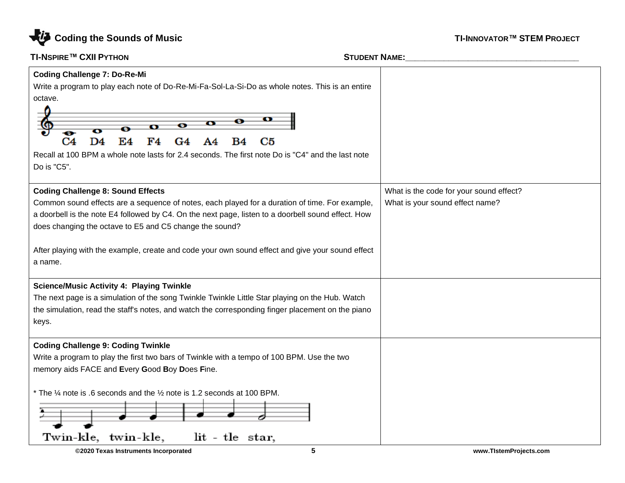

| Do is "C5".<br><b>Coding Challenge 8: Sound Effects</b><br>What is the code for your sound effect?<br>Common sound effects are a sequence of notes, each played for a duration of time. For example,<br>What is your sound effect name?<br>a doorbell is the note E4 followed by C4. On the next page, listen to a doorbell sound effect. How<br>does changing the octave to E5 and C5 change the sound?<br>After playing with the example, create and code your own sound effect and give your sound effect<br>a name.<br><b>Science/Music Activity 4: Playing Twinkle</b><br>The next page is a simulation of the song Twinkle Twinkle Little Star playing on the Hub. Watch<br>the simulation, read the staff's notes, and watch the corresponding finger placement on the piano<br>keys.<br><b>Coding Challenge 9: Coding Twinkle</b><br>Write a program to play the first two bars of Twinkle with a tempo of 100 BPM. Use the two<br>memory aids FACE and Every Good Boy Does Fine. | <b>Coding Challenge 7: Do-Re-Mi</b><br>Write a program to play each note of Do-Re-Mi-Fa-Sol-La-Si-Do as whole notes. This is an entire<br>octave.<br>⊖<br>ø<br>D4<br>C4<br>E4<br>C5<br>G4<br>Recall at 100 BPM a whole note lasts for 2.4 seconds. The first note Do is "C4" and the last note |  |
|-------------------------------------------------------------------------------------------------------------------------------------------------------------------------------------------------------------------------------------------------------------------------------------------------------------------------------------------------------------------------------------------------------------------------------------------------------------------------------------------------------------------------------------------------------------------------------------------------------------------------------------------------------------------------------------------------------------------------------------------------------------------------------------------------------------------------------------------------------------------------------------------------------------------------------------------------------------------------------------------|------------------------------------------------------------------------------------------------------------------------------------------------------------------------------------------------------------------------------------------------------------------------------------------------|--|
|                                                                                                                                                                                                                                                                                                                                                                                                                                                                                                                                                                                                                                                                                                                                                                                                                                                                                                                                                                                           |                                                                                                                                                                                                                                                                                                |  |
|                                                                                                                                                                                                                                                                                                                                                                                                                                                                                                                                                                                                                                                                                                                                                                                                                                                                                                                                                                                           |                                                                                                                                                                                                                                                                                                |  |
|                                                                                                                                                                                                                                                                                                                                                                                                                                                                                                                                                                                                                                                                                                                                                                                                                                                                                                                                                                                           |                                                                                                                                                                                                                                                                                                |  |
|                                                                                                                                                                                                                                                                                                                                                                                                                                                                                                                                                                                                                                                                                                                                                                                                                                                                                                                                                                                           |                                                                                                                                                                                                                                                                                                |  |
|                                                                                                                                                                                                                                                                                                                                                                                                                                                                                                                                                                                                                                                                                                                                                                                                                                                                                                                                                                                           |                                                                                                                                                                                                                                                                                                |  |
|                                                                                                                                                                                                                                                                                                                                                                                                                                                                                                                                                                                                                                                                                                                                                                                                                                                                                                                                                                                           |                                                                                                                                                                                                                                                                                                |  |
|                                                                                                                                                                                                                                                                                                                                                                                                                                                                                                                                                                                                                                                                                                                                                                                                                                                                                                                                                                                           |                                                                                                                                                                                                                                                                                                |  |
| * The $\frac{1}{4}$ note is .6 seconds and the $\frac{1}{2}$ note is 1.2 seconds at 100 BPM.                                                                                                                                                                                                                                                                                                                                                                                                                                                                                                                                                                                                                                                                                                                                                                                                                                                                                              |                                                                                                                                                                                                                                                                                                |  |
| lit - tle star,<br>Twin-kle,<br>twin-kle,<br>5<br>©2020 Texas Instruments Incorporated<br>www.TistemProjects.com                                                                                                                                                                                                                                                                                                                                                                                                                                                                                                                                                                                                                                                                                                                                                                                                                                                                          |                                                                                                                                                                                                                                                                                                |  |